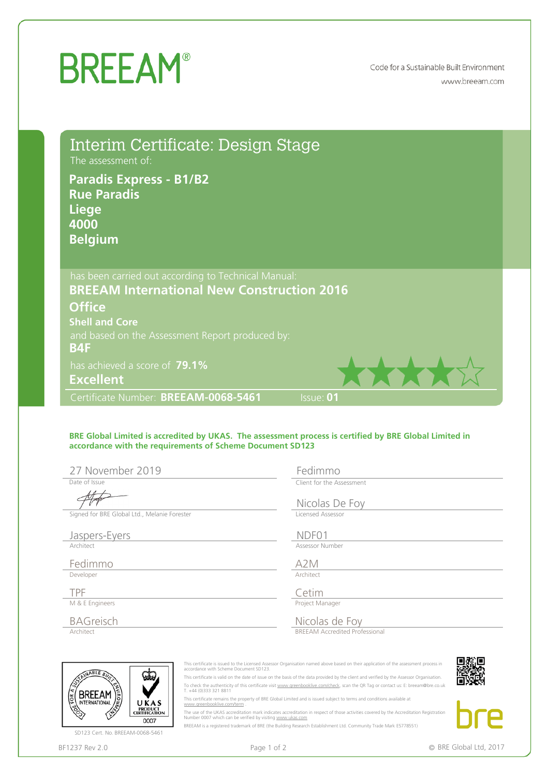## **BREEAM®**

Code for a Sustainable Built Environment www.breeam.com

| Interim Certificate: Design Stage<br>The assessment of:<br><b>Paradis Express - B1/B2</b><br><b>Rue Paradis</b><br><b>Liege</b><br>4000<br><b>Belgium</b>                                                |                                                         |
|----------------------------------------------------------------------------------------------------------------------------------------------------------------------------------------------------------|---------------------------------------------------------|
| has been carried out according to Technical Manual:<br><b>BREEAM International New Construction 2016</b>                                                                                                 |                                                         |
| <b>Office</b><br><b>Shell and Core</b><br>and based on the Assessment Report produced by:<br><b>B4F</b>                                                                                                  |                                                         |
| has achieved a score of 79.1%<br><b>Excellent</b>                                                                                                                                                        |                                                         |
| Certificate Number: BREEAM-0068-5461                                                                                                                                                                     | Issue: 01                                               |
| BRE Global Limited is accredited by UKAS. The assessment process is certified by BRE Global Limited in<br>accordance with the requirements of Scheme Document SD123<br>27 November 2019<br>Date of Issue | Fedimmo<br>Client for the Assessment<br>Nicolas De Foy  |
| Signed for BRE Global Ltd., Melanie Forester<br>Jaspers-Eyers<br>Architect                                                                                                                               | Licensed Assessor<br>NDF01<br>Assessor Number           |
| Fedimmo<br>Developer                                                                                                                                                                                     | A <sub>2</sub> M<br>Architect                           |
| TPF<br>M & E Engineers                                                                                                                                                                                   | Cetim<br>Project Manager                                |
| <b>BAGreisch</b><br>Architect                                                                                                                                                                            | Nicolas de Foy<br><b>BREEAM Accredited Professional</b> |

## **BRE Global Limited is accredited by UKAS. The assessment process is certified by BRE Global Limited in accordance with the requirements of Scheme Document SD123**

| <b>Office</b>                                                                                          |                                                                                                                                           |
|--------------------------------------------------------------------------------------------------------|-------------------------------------------------------------------------------------------------------------------------------------------|
| <b>Shell and Core</b>                                                                                  |                                                                                                                                           |
| and based on the Assessment Report produced by:                                                        |                                                                                                                                           |
| <b>B4F</b>                                                                                             |                                                                                                                                           |
| has achieved a score of 79.1%                                                                          |                                                                                                                                           |
| <b>Excellent</b>                                                                                       |                                                                                                                                           |
| Certificate Number: BREEAM-0068-5461                                                                   | Issue: 01                                                                                                                                 |
|                                                                                                        |                                                                                                                                           |
|                                                                                                        |                                                                                                                                           |
| BRE Global Limited is accredited by UKAS. The assessment process is certified by BRE Global Limited in |                                                                                                                                           |
| accordance with the requirements of Scheme Document SD123                                              |                                                                                                                                           |
| 27 November 2019                                                                                       | Fedimmo                                                                                                                                   |
| Date of Issue                                                                                          | Client for the Assessment                                                                                                                 |
|                                                                                                        |                                                                                                                                           |
| Signed for BRE Global Ltd., Melanie Forester                                                           | Nicolas De Foy<br>Licensed Assessor                                                                                                       |
|                                                                                                        |                                                                                                                                           |
| Jaspers-Eyers                                                                                          | NDF01                                                                                                                                     |
| Architect                                                                                              | Assessor Number                                                                                                                           |
| Fedimmo                                                                                                | A <sub>2</sub> M                                                                                                                          |
| Developer                                                                                              | Architect                                                                                                                                 |
| <b>TPF</b>                                                                                             | Cetim                                                                                                                                     |
| M & E Engineers                                                                                        | Project Manager                                                                                                                           |
| <b>BAGreisch</b>                                                                                       | <b>Nicolas de Foy<br/> BREEAM Accredited Professional</b>                                                                                 |
| Architect                                                                                              |                                                                                                                                           |
|                                                                                                        |                                                                                                                                           |
|                                                                                                        | This certificate is issued to the Licensed Assessor Organisation named above based on their application of the assessment process in      |
| accordance with Scheme Document SD123.<br>ABLE B                                                       | This certificate is valid on the date of issue on the basis of the data provided by the client and verified by the Assessor Organisation. |
| T. +44 (0)333 321 8811<br>BREEAM                                                                       | To check the authenticity of this certificate visit www.greenbooklive.com/check, scan the QR Tag or contact us: E: breeam@bre.co.uk       |
| <b>INTERNATIONAL</b><br>UKAS<br>www.greenbooklive.com/term                                             | This certificate remains the property of BRE Global Limited and is issued subject to terms and conditions available at                    |
| PRODUCT<br>CERTIFICATION<br>Number 0007 which can be verified by visiting www.ukas.com<br>0007         | The use of the UKAS accreditation mark indicates accreditation in respect of those activities covered by the Accreditation Registration   |
| SD123 Cert. No. BREEAM-0068-5461                                                                       | BREEAM is a registered trademark of BRE (the Building Research Establishment Ltd. Community Trade Mark E5778551)                          |
| BF1237 Rev 2.0<br>Page 1 of 2                                                                          | © BRE Global Ltd, 2017                                                                                                                    |